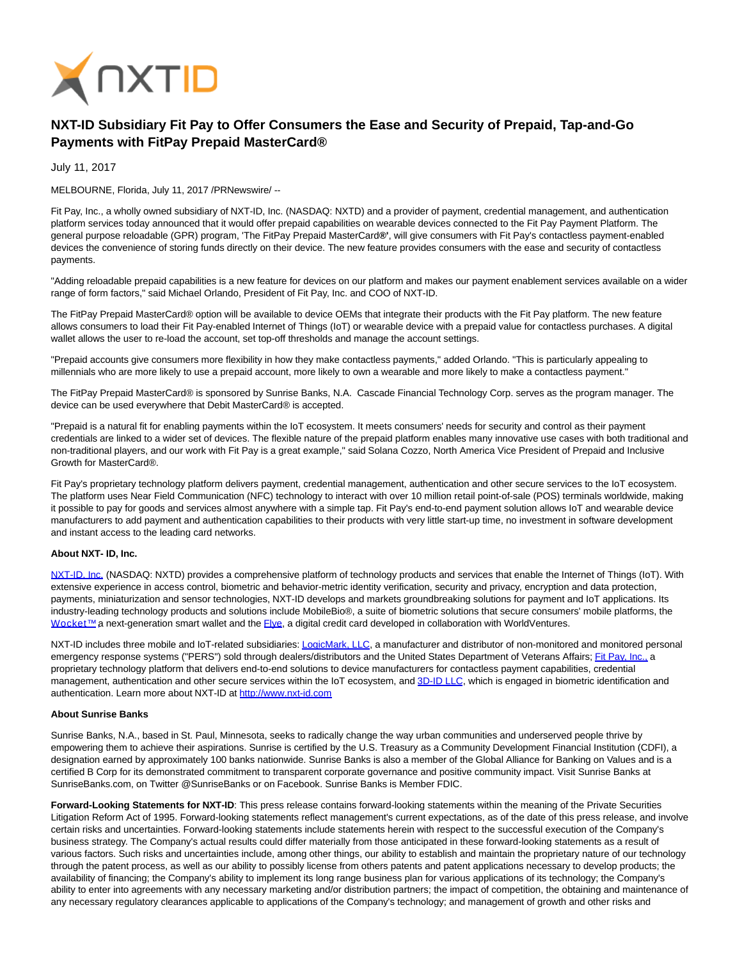

## **NXT-ID Subsidiary Fit Pay to Offer Consumers the Ease and Security of Prepaid, Tap-and-Go Payments with FitPay Prepaid MasterCard®**

July 11, 2017

MELBOURNE, Florida, July 11, 2017 /PRNewswire/ --

Fit Pay, Inc., a wholly owned subsidiary of NXT-ID, Inc. (NASDAQ: NXTD) and a provider of payment, credential management, and authentication platform services today announced that it would offer prepaid capabilities on wearable devices connected to the Fit Pay Payment Platform. The general purpose reloadable (GPR) program, 'The FitPay Prepaid MasterCard**®'**, will give consumers with Fit Pay's contactless payment-enabled devices the convenience of storing funds directly on their device. The new feature provides consumers with the ease and security of contactless payments.

"Adding reloadable prepaid capabilities is a new feature for devices on our platform and makes our payment enablement services available on a wider range of form factors," said Michael Orlando, President of Fit Pay, Inc. and COO of NXT-ID.

The FitPay Prepaid MasterCard® option will be available to device OEMs that integrate their products with the Fit Pay platform. The new feature allows consumers to load their Fit Pay-enabled Internet of Things (IoT) or wearable device with a prepaid value for contactless purchases. A digital wallet allows the user to re-load the account, set top-off thresholds and manage the account settings.

"Prepaid accounts give consumers more flexibility in how they make contactless payments," added Orlando. "This is particularly appealing to millennials who are more likely to use a prepaid account, more likely to own a wearable and more likely to make a contactless payment."

The FitPay Prepaid MasterCard® is sponsored by Sunrise Banks, N.A. Cascade Financial Technology Corp. serves as the program manager. The device can be used everywhere that Debit MasterCard® is accepted.

"Prepaid is a natural fit for enabling payments within the IoT ecosystem. It meets consumers' needs for security and control as their payment credentials are linked to a wider set of devices. The flexible nature of the prepaid platform enables many innovative use cases with both traditional and non-traditional players, and our work with Fit Pay is a great example," said Solana Cozzo, North America Vice President of Prepaid and Inclusive Growth for MasterCard®.

Fit Pay's proprietary technology platform delivers payment, credential management, authentication and other secure services to the IoT ecosystem. The platform uses Near Field Communication (NFC) technology to interact with over 10 million retail point-of-sale (POS) terminals worldwide, making it possible to pay for goods and services almost anywhere with a simple tap. Fit Pay's end-to-end payment solution allows IoT and wearable device manufacturers to add payment and authentication capabilities to their products with very little start-up time, no investment in software development and instant access to the leading card networks.

## **About NXT- ID, Inc.**

[NXT-ID, Inc. \(](http://www.nxt-id.com/)NASDAQ: NXTD) provides a comprehensive platform of technology products and services that enable the Internet of Things (IoT). With extensive experience in access control, biometric and behavior-metric identity verification, security and privacy, encryption and data protection, payments, miniaturization and sensor technologies, NXT-ID develops and markets groundbreaking solutions for payment and IoT applications. Its industry-leading technology products and solutions include MobileBio®, a suite of biometric solutions that secure consumers' mobile platforms, the Wocket™ a next-generation smart wallet and the [Flye,](https://www.flye.com/) a digital credit card developed in collaboration with WorldVentures.

NXT-ID includes three mobile and IoT-related subsidiaries[: LogicMark, LLC,](https://www.logicmark.com/) a manufacturer and distributor of non-monitored and monitored personal emergency response systems ("PERS") sold through dealers/distributors and the United States Department of Veterans Affairs[; Fit Pay, Inc., a](http://www.fit-pay.com/) proprietary technology platform that delivers end-to-end solutions to device manufacturers for contactless payment capabilities, credential management, authentication and other secure services within the IoT ecosystem, and [3D-ID LLC,](http://nxt-id.com/products/3did/) which is engaged in biometric identification and authentication. Learn more about NXT-ID at [http://www.nxt-id.com](http://www.nxt-id.com/)

## **About Sunrise Banks**

Sunrise Banks, N.A., based in St. Paul, Minnesota, seeks to radically change the way urban communities and underserved people thrive by empowering them to achieve their aspirations. Sunrise is certified by the U.S. Treasury as a Community Development Financial Institution (CDFI), a designation earned by approximately 100 banks nationwide. Sunrise Banks is also a member of the Global Alliance for Banking on Values and is a certified B Corp for its demonstrated commitment to transparent corporate governance and positive community impact. Visit Sunrise Banks at SunriseBanks.com, on Twitter @SunriseBanks or on Facebook. Sunrise Banks is Member FDIC.

**Forward-Looking Statements for NXT-ID**: This press release contains forward-looking statements within the meaning of the Private Securities Litigation Reform Act of 1995. Forward-looking statements reflect management's current expectations, as of the date of this press release, and involve certain risks and uncertainties. Forward-looking statements include statements herein with respect to the successful execution of the Company's business strategy. The Company's actual results could differ materially from those anticipated in these forward-looking statements as a result of various factors. Such risks and uncertainties include, among other things, our ability to establish and maintain the proprietary nature of our technology through the patent process, as well as our ability to possibly license from others patents and patent applications necessary to develop products; the availability of financing; the Company's ability to implement its long range business plan for various applications of its technology; the Company's ability to enter into agreements with any necessary marketing and/or distribution partners; the impact of competition, the obtaining and maintenance of any necessary regulatory clearances applicable to applications of the Company's technology; and management of growth and other risks and